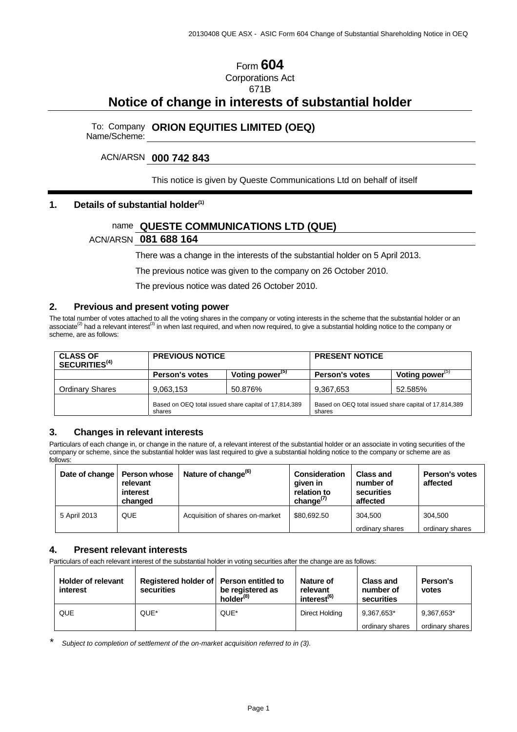### Form **604** Corporations Act 671B

# **Notice of change in interests of substantial holder**

# To: Company Name/Scheme: **ORION EQUITIES LIMITED (OEQ)**

#### ACN/ARSN **000 742 843**

#### This notice is given by Queste Communications Ltd on behalf of itself

#### **1. Details of substantial holder(1)**

## name **QUESTE COMMUNICATIONS LTD (QUE)**

#### ACN/ARSN **081 688 164**

There was a change in the interests of the substantial holder on 5 April 2013.

The previous notice was given to the company on 26 October 2010.

The previous notice was dated 26 October 2010.

#### **2. Previous and present voting power**

The total number of votes attached to all the voting shares in the company or voting interests in the scheme that the substantial holder or an associate<sup>(2)</sup> had a relevant interest<sup>(3)</sup> in when last required, and when now required, to give a substantial holding notice to the company or scheme, are as follows:

| <b>CLASS OF</b><br>SECURITIES <sup>(4)</sup> | <b>PREVIOUS NOTICE</b>                                          |                             | <b>PRESENT NOTICE</b>                                           |                             |
|----------------------------------------------|-----------------------------------------------------------------|-----------------------------|-----------------------------------------------------------------|-----------------------------|
|                                              | <b>Person's votes</b>                                           | Voting power <sup>(5)</sup> | <b>Person's votes</b>                                           | Voting power <sup>(5)</sup> |
| <b>Ordinary Shares</b>                       | 9,063,153                                                       | 50.876%                     | 9,367,653                                                       | 52.585%                     |
|                                              | Based on OEQ total issued share capital of 17,814,389<br>shares |                             | Based on OEQ total issued share capital of 17,814,389<br>shares |                             |

#### **3. Changes in relevant interests**

Particulars of each change in, or change in the nature of, a relevant interest of the substantial holder or an associate in voting securities of the company or scheme, since the substantial holder was last required to give a substantial holding notice to the company or scheme are as follows:

| Date of change   Person whose | relevant<br>interest<br>changed | Nature of change <sup>(6)</sup> | Consideration<br>given in<br>relation to<br>change $^{(7)}$ | <b>Class and</b><br>number of<br>securities<br>affected | <b>Person's votes</b><br>affected |
|-------------------------------|---------------------------------|---------------------------------|-------------------------------------------------------------|---------------------------------------------------------|-----------------------------------|
| 5 April 2013                  | <b>QUE</b>                      | Acquisition of shares on-market | \$80.692.50                                                 | 304.500<br>ordinary shares                              | 304.500<br>ordinary shares        |

#### **4. Present relevant interests**

Particulars of each relevant interest of the substantial holder in voting securities after the change are as follows:

| <b>Holder of relevant</b><br>interest | Registered holder of Person entitled to<br>securities | be registered as<br>holder <sup>(8)</sup> | Nature of<br>relevant<br>interest <sup>(6)</sup> | <b>Class and</b><br>number of<br>securities | Person's<br>votes |
|---------------------------------------|-------------------------------------------------------|-------------------------------------------|--------------------------------------------------|---------------------------------------------|-------------------|
| QUE                                   | QUE*                                                  | QUE*                                      | Direct Holding                                   | 9.367.653*                                  | 9,367,653*        |
|                                       |                                                       |                                           |                                                  | ordinary shares                             | ordinary shares   |

*\* Subject to completion of settlement of the on-market acquisition referred to in (3).*